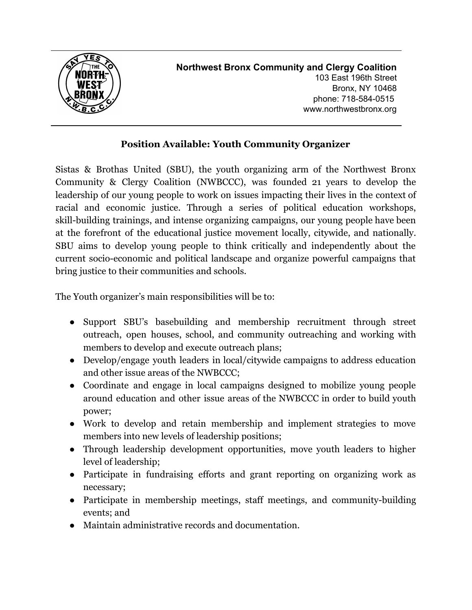

## **Position Available: Youth Community Organizer**

Sistas & Brothas United (SBU), the youth organizing arm of the Northwest Bronx Community & Clergy Coalition (NWBCCC), was founded 21 years to develop the leadership of our young people to work on issues impacting their lives in the context of racial and economic justice. Through a series of political education workshops, skill-building trainings, and intense organizing campaigns, our young people have been at the forefront of the educational justice movement locally, citywide, and nationally. SBU aims to develop young people to think critically and independently about the current socio-economic and political landscape and organize powerful campaigns that bring justice to their communities and schools.

The Youth organizer's main responsibilities will be to:

- **●** Support SBU's basebuilding and membership recruitment through street outreach, open houses, school, and community outreaching and working with members to develop and execute outreach plans;
- Develop/engage youth leaders in local/citywide campaigns to address education and other issue areas of the NWBCCC;
- Coordinate and engage in local campaigns designed to mobilize young people around education and other issue areas of the NWBCCC in order to build youth power;
- Work to develop and retain membership and implement strategies to move members into new levels of leadership positions;
- **●** Through leadership development opportunities, move youth leaders to higher level of leadership;
- **●** Participate in fundraising efforts and grant reporting on organizing work as necessary;
- Participate in membership meetings, staff meetings, and community-building events; and
- Maintain administrative records and documentation.